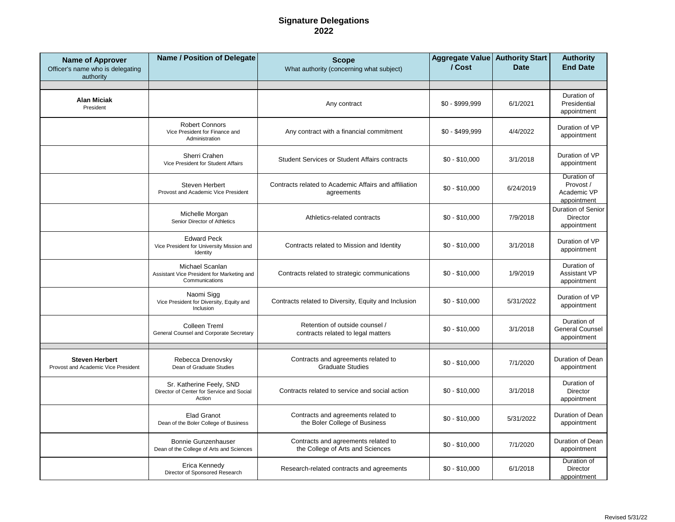## **Signature Delegations 2022**

| <b>Name of Approver</b><br>Officer's name who is delegating<br>authority | <b>Name / Position of Delegate</b>                                              | <b>Scope</b><br>What authority (concerning what subject)                | Aggregate Value Authority Start<br>/ Cost | <b>Date</b> | <b>Authority</b><br><b>End Date</b>                    |
|--------------------------------------------------------------------------|---------------------------------------------------------------------------------|-------------------------------------------------------------------------|-------------------------------------------|-------------|--------------------------------------------------------|
|                                                                          |                                                                                 |                                                                         |                                           |             |                                                        |
| <b>Alan Miciak</b><br>President                                          |                                                                                 | Any contract                                                            | $$0 - $999,999$                           | 6/1/2021    | Duration of<br>Presidential<br>appointment             |
|                                                                          | <b>Robert Connors</b><br>Vice President for Finance and<br>Administration       | Any contract with a financial commitment                                | $$0 - $499,999$                           | 4/4/2022    | Duration of VP<br>appointment                          |
|                                                                          | Sherri Crahen<br>Vice President for Student Affairs                             | <b>Student Services or Student Affairs contracts</b>                    | $$0 - $10,000$                            | 3/1/2018    | Duration of VP<br>appointment                          |
|                                                                          | Steven Herbert<br>Provost and Academic Vice President                           | Contracts related to Academic Affairs and affiliation<br>agreements     | $$0 - $10,000$                            | 6/24/2019   | Duration of<br>Provost /<br>Academic VP<br>appointment |
|                                                                          | Michelle Morgan<br>Senior Director of Athletics                                 | Athletics-related contracts                                             | $$0 - $10,000$                            | 7/9/2018    | Duration of Senior<br><b>Director</b><br>appointment   |
|                                                                          | <b>Edward Peck</b><br>Vice President for University Mission and<br>Identity     | Contracts related to Mission and Identity                               | $$0 - $10,000$                            | 3/1/2018    | Duration of VP<br>appointment                          |
|                                                                          | Michael Scanlan<br>Assistant Vice President for Marketing and<br>Communications | Contracts related to strategic communications                           | $$0 - $10,000$                            | 1/9/2019    | Duration of<br><b>Assistant VP</b><br>appointment      |
|                                                                          | Naomi Sigg<br>Vice President for Diversity, Equity and<br>Inclusion             | Contracts related to Diversity, Equity and Inclusion                    | $$0 - $10,000$                            | 5/31/2022   | Duration of VP<br>appointment                          |
|                                                                          | Colleen Treml<br>General Counsel and Corporate Secretary                        | Retention of outside counsel /<br>contracts related to legal matters    | $$0 - $10,000$                            | 3/1/2018    | Duration of<br><b>General Counsel</b><br>appointment   |
| <b>Steven Herbert</b><br>Provost and Academic Vice President             | Rebecca Drenovsky<br>Dean of Graduate Studies                                   | Contracts and agreements related to<br><b>Graduate Studies</b>          | $$0 - $10,000$                            | 7/1/2020    | Duration of Dean<br>appointment                        |
|                                                                          | Sr. Katherine Feely, SND<br>Director of Center for Service and Social<br>Action | Contracts related to service and social action                          | $$0 - $10,000$                            | 3/1/2018    | Duration of<br>Director<br>appointment                 |
|                                                                          | <b>Elad Granot</b><br>Dean of the Boler College of Business                     | Contracts and agreements related to<br>the Boler College of Business    | $$0 - $10,000$                            | 5/31/2022   | Duration of Dean<br>appointment                        |
|                                                                          | <b>Bonnie Gunzenhauser</b><br>Dean of the College of Arts and Sciences          | Contracts and agreements related to<br>the College of Arts and Sciences | $$0 - $10,000$                            | 7/1/2020    | Duration of Dean<br>appointment                        |
|                                                                          | Erica Kennedy<br>Director of Sponsored Research                                 | Research-related contracts and agreements                               | $$0 - $10,000$                            | 6/1/2018    | Duration of<br><b>Director</b><br>appointment          |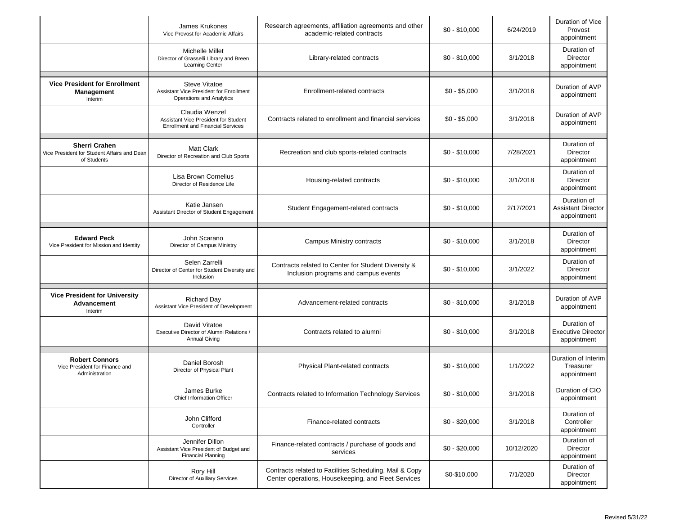|                                                                                    | James Krukones<br>Vice Provost for Academic Affairs                                                | Research agreements, affiliation agreements and other<br>academic-related contracts                            | $$0 - $10,000$ | 6/24/2019  | Duration of Vice<br>Provost<br>appointment              |
|------------------------------------------------------------------------------------|----------------------------------------------------------------------------------------------------|----------------------------------------------------------------------------------------------------------------|----------------|------------|---------------------------------------------------------|
|                                                                                    | Michelle Millet<br>Director of Grasselli Library and Breen<br>Learning Center                      | Library-related contracts                                                                                      | $$0 - $10,000$ | 3/1/2018   | Duration of<br><b>Director</b><br>appointment           |
| <b>Vice President for Enrollment</b><br>Management<br>Interim                      | <b>Steve Vitatoe</b><br>Assistant Vice President for Enrollment<br>Operations and Analytics        | Enrollment-related contracts                                                                                   | $$0 - $5,000$  | 3/1/2018   | Duration of AVP<br>appointment                          |
|                                                                                    | Claudia Wenzel<br>Assistant Vice President for Student<br><b>Enrollment and Financial Services</b> | Contracts related to enrollment and financial services                                                         | $$0 - $5,000$  | 3/1/2018   | Duration of AVP<br>appointment                          |
| <b>Sherri Crahen</b><br>Vice President for Student Affairs and Dean<br>of Students | Matt Clark<br>Director of Recreation and Club Sports                                               | Recreation and club sports-related contracts                                                                   | $$0 - $10,000$ | 7/28/2021  | Duration of<br>Director<br>appointment                  |
|                                                                                    | Lisa Brown Cornelius<br>Director of Residence Life                                                 | Housing-related contracts                                                                                      | $$0 - $10,000$ | 3/1/2018   | Duration of<br><b>Director</b><br>appointment           |
|                                                                                    | Katie Jansen<br>Assistant Director of Student Engagement                                           | Student Engagement-related contracts                                                                           | $$0 - $10,000$ | 2/17/2021  | Duration of<br><b>Assistant Director</b><br>appointment |
| <b>Edward Peck</b><br>Vice President for Mission and Identity                      | John Scarano<br>Director of Campus Ministry                                                        | Campus Ministry contracts                                                                                      | $$0 - $10,000$ | 3/1/2018   | Duration of<br><b>Director</b><br>appointment           |
|                                                                                    | Selen Zarrelli<br>Director of Center for Student Diversity and<br>Inclusion                        | Contracts related to Center for Student Diversity &<br>Inclusion programs and campus events                    | $$0 - $10,000$ | 3/1/2022   | Duration of<br>Director<br>appointment                  |
| <b>Vice President for University</b><br>Advancement<br>Interim                     | <b>Richard Day</b><br>Assistant Vice President of Development                                      | Advancement-related contracts                                                                                  | $$0 - $10,000$ | 3/1/2018   | Duration of AVP<br>appointment                          |
|                                                                                    | David Vitatoe<br>Executive Director of Alumni Relations /<br><b>Annual Giving</b>                  | Contracts related to alumni                                                                                    | $$0 - $10,000$ | 3/1/2018   | Duration of<br><b>Executive Director</b><br>appointment |
| <b>Robert Connors</b><br>Vice President for Finance and<br>Administration          | Daniel Borosh<br>Director of Physical Plant                                                        | Physical Plant-related contracts                                                                               | $$0 - $10,000$ | 1/1/2022   | Duration of Interim<br>Treasurer<br>appointment         |
|                                                                                    | James Burke<br>Chief Information Officer                                                           | Contracts related to Information Technology Services                                                           | $$0 - $10,000$ | 3/1/2018   | Duration of CIO<br>appointment                          |
|                                                                                    | John Clifford<br>Controller                                                                        | Finance-related contracts                                                                                      | $$0 - $20,000$ | 3/1/2018   | Duration of<br>Controller<br>appointment                |
|                                                                                    | Jennifer Dillon<br>Assistant Vice President of Budget and<br><b>Financial Planning</b>             | Finance-related contracts / purchase of goods and<br>services                                                  | $$0 - $20,000$ | 10/12/2020 | Duration of<br>Director<br>appointment                  |
|                                                                                    | Rory Hill<br>Director of Auxiliary Services                                                        | Contracts related to Facilities Scheduling, Mail & Copy<br>Center operations, Housekeeping, and Fleet Services | \$0-\$10,000   | 7/1/2020   | Duration of<br>Director<br>appointment                  |